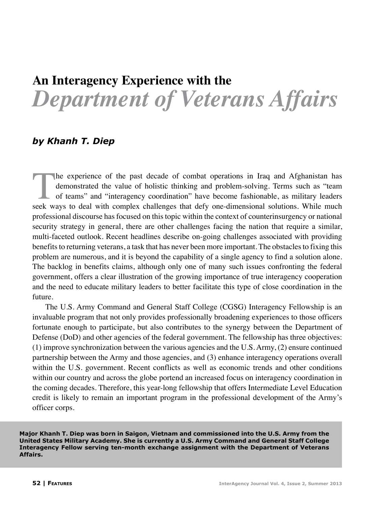# **An Interagency Experience with the**  *Department of Veterans Affairs*

## *by Khanh T. Diep*

The experience of the past decade of combat operations in Iraq and Afghanistan has demonstrated the value of holistic thinking and problem-solving. Terms such as "team of teams" and "interagency coordination" have become f demonstrated the value of holistic thinking and problem-solving. Terms such as "team of teams" and "interagency coordination" have become fashionable, as military leaders seek ways to deal with complex challenges that defy one-dimensional solutions. While much professional discourse has focused on this topic within the context of counterinsurgency or national security strategy in general, there are other challenges facing the nation that require a similar, multi-faceted outlook. Recent headlines describe on-going challenges associated with providing benefits to returning veterans, a task that has never been more important. The obstacles to fixing this problem are numerous, and it is beyond the capability of a single agency to find a solution alone. The backlog in benefits claims, although only one of many such issues confronting the federal government, offers a clear illustration of the growing importance of true interagency cooperation and the need to educate military leaders to better facilitate this type of close coordination in the future.

The U.S. Army Command and General Staff College (CGSG) Interagency Fellowship is an invaluable program that not only provides professionally broadening experiences to those officers fortunate enough to participate, but also contributes to the synergy between the Department of Defense (DoD) and other agencies of the federal government. The fellowship has three objectives: (1) improve synchronization between the various agencies and the U.S. Army, (2) ensure continued partnership between the Army and those agencies, and (3) enhance interagency operations overall within the U.S. government. Recent conflicts as well as economic trends and other conditions within our country and across the globe portend an increased focus on interagency coordination in the coming decades. Therefore, this year-long fellowship that offers Intermediate Level Education credit is likely to remain an important program in the professional development of the Army's officer corps.

**Major Khanh T. Diep was born in Saigon, Vietnam and commissioned into the U.S. Army from the United States Military Academy. She is currently a U.S. Army Command and General Staff College Interagency Fellow serving ten-month exchange assignment with the Department of Veterans Affairs.**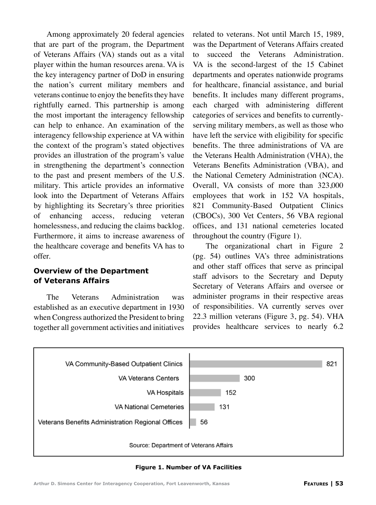Among approximately 20 federal agencies that are part of the program, the Department of Veterans Affairs (VA) stands out as a vital player within the human resources arena. VA is the key interagency partner of DoD in ensuring the nation's current military members and veterans continue to enjoy the benefits they have rightfully earned. This partnership is among the most important the interagency fellowship can help to enhance. An examination of the interagency fellowship experience at VA within the context of the program's stated objectives provides an illustration of the program's value in strengthening the department's connection to the past and present members of the U.S. military. This article provides an informative look into the Department of Veterans Affairs by highlighting its Secretary's three priorities of enhancing access, reducing veteran homelessness, and reducing the claims backlog. Furthermore, it aims to increase awareness of the healthcare coverage and benefits VA has to offer.

#### **Overview of the Department of Veterans Affairs**

The Veterans Administration was established as an executive department in 1930 when Congress authorized the President to bring together all government activities and initiatives related to veterans. Not until March 15, 1989, was the Department of Veterans Affairs created to succeed the Veterans Administration. VA is the second-largest of the 15 Cabinet departments and operates nationwide programs for healthcare, financial assistance, and burial benefits. It includes many different programs, each charged with administering different categories of services and benefits to currentlyserving military members, as well as those who have left the service with eligibility for specific benefits. The three administrations of VA are the Veterans Health Administration (VHA), the Veterans Benefits Administration (VBA), and the National Cemetery Administration (NCA). Overall, VA consists of more than 323,000 employees that work in 152 VA hospitals, 821 Community-Based Outpatient Clinics (CBOCs), 300 Vet Centers, 56 VBA regional offices, and 131 national cemeteries located throughout the country (Figure 1).

The organizational chart in Figure 2 (pg. 54) outlines VA's three administrations and other staff offices that serve as principal staff advisors to the Secretary and Deputy Secretary of Veterans Affairs and oversee or administer programs in their respective areas of responsibilities. VA currently serves over 22.3 million veterans (Figure 3, pg. 54). VHA provides healthcare services to nearly 6.2



**Figure 1. Number of VA Facilities**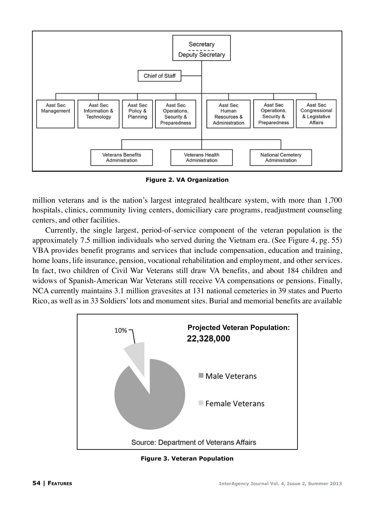

**Figure 2. VA Organization**

million veterans and is the nation's largest integrated healthcare system, with more than 1,700 hospitals, clinics, community living centers, domiciliary care programs, readjustment counseling centers, and other facilities.

Currently, the single largest, period-of-service component of the veteran population is the approximately 7.5 million individuals who served during the Vietnam era. (See Figure 4, pg. 55) VBA provides benefit programs and services that include compensation, education and training, home loans, life insurance, pension, vocational rehabilitation and employment, and other services. In fact, two children of Civil War Veterans still draw VA benefits, and about 184 children and widows of Spanish-American War Veterans still receive VA compensations or pensions. Finally, NCA currently maintains 3.1 million gravesites at 131 national cemeteries in 39 states and Puerto Rico, as well as in 33 Soldiers' lots and monument sites. Burial and memorial benefits are available



**Figure 3. Veteran Population**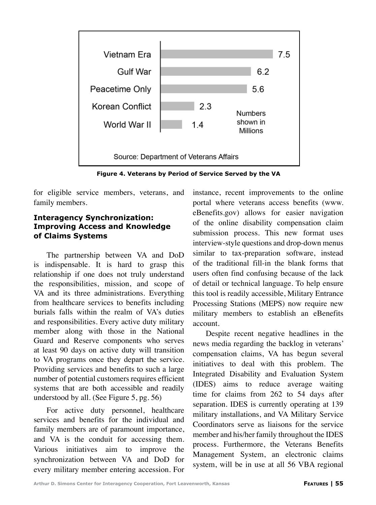

**Figure 4. Veterans by Period of Service Served by the VA**

for eligible service members, veterans, and family members.

#### **Interagency Synchronization: Improving Access and Knowledge of Claims Systems**

The partnership between VA and DoD is indispensable. It is hard to grasp this relationship if one does not truly understand the responsibilities, mission, and scope of VA and its three administrations. Everything from healthcare services to benefits including burials falls within the realm of VA's duties and responsibilities. Every active duty military member along with those in the National Guard and Reserve components who serves at least 90 days on active duty will transition to VA programs once they depart the service. Providing services and benefits to such a large number of potential customers requires efficient systems that are both accessible and readily understood by all. (See Figure 5, pg. 56)

For active duty personnel, healthcare services and benefits for the individual and family members are of paramount importance, and VA is the conduit for accessing them. Various initiatives aim to improve the synchronization between VA and DoD for every military member entering accession. For instance, recent improvements to the online portal where veterans access benefits (www. eBenefits.gov) allows for easier navigation of the online disability compensation claim submission process. This new format uses interview-style questions and drop-down menus similar to tax-preparation software, instead of the traditional fill-in the blank forms that users often find confusing because of the lack of detail or technical language. To help ensure this tool is readily accessible, Military Entrance Processing Stations (MEPS) now require new military members to establish an eBenefits account.

Despite recent negative headlines in the news media regarding the backlog in veterans' compensation claims, VA has begun several initiatives to deal with this problem. The Integrated Disability and Evaluation System (IDES) aims to reduce average waiting time for claims from 262 to 54 days after separation. IDES is currently operating at 139 military installations, and VA Military Service Coordinators serve as liaisons for the service member and his/her family throughout the IDES process. Furthermore, the Veterans Benefits Management System, an electronic claims system, will be in use at all 56 VBA regional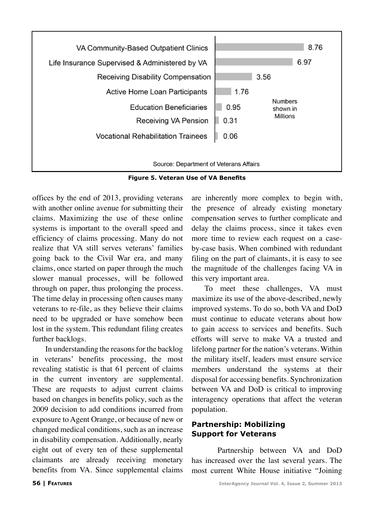

**Figure 5. Veteran Use of VA Benefits**

offices by the end of 2013, providing veterans with another online avenue for submitting their claims. Maximizing the use of these online systems is important to the overall speed and efficiency of claims processing. Many do not realize that VA still serves veterans' families going back to the Civil War era, and many claims, once started on paper through the much slower manual processes, will be followed through on paper, thus prolonging the process. The time delay in processing often causes many veterans to re-file, as they believe their claims need to be upgraded or have somehow been lost in the system. This redundant filing creates further backlogs.

In understanding the reasons for the backlog in veterans' benefits processing, the most revealing statistic is that 61 percent of claims in the current inventory are supplemental. These are requests to adjust current claims based on changes in benefits policy, such as the 2009 decision to add conditions incurred from exposure to Agent Orange, or because of new or changed medical conditions, such as an increase in disability compensation. Additionally, nearly eight out of every ten of these supplemental claimants are already receiving monetary benefits from VA. Since supplemental claims

are inherently more complex to begin with, the presence of already existing monetary compensation serves to further complicate and delay the claims process, since it takes even more time to review each request on a caseby-case basis. When combined with redundant filing on the part of claimants, it is easy to see the magnitude of the challenges facing VA in this very important area.

To meet these challenges, VA must maximize its use of the above-described, newly improved systems. To do so, both VA and DoD must continue to educate veterans about how to gain access to services and benefits. Such efforts will serve to make VA a trusted and lifelong partner for the nation's veterans. Within the military itself, leaders must ensure service members understand the systems at their disposal for accessing benefits. Synchronization between VA and DoD is critical to improving interagency operations that affect the veteran population.

### **Partnership: Mobilizing Support for Veterans**

Partnership between VA and DoD has increased over the last several years. The most current White House initiative "Joining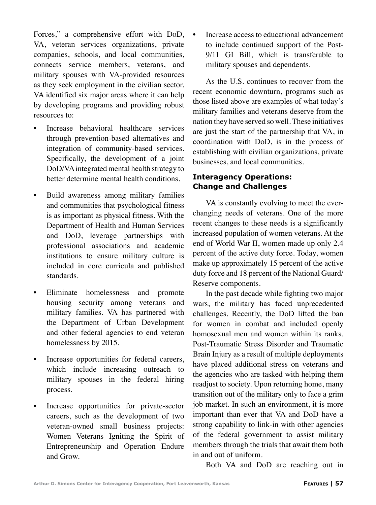Forces," a comprehensive effort with DoD, VA, veteran services organizations, private companies, schools, and local communities, connects service members, veterans, and military spouses with VA-provided resources as they seek employment in the civilian sector. VA identified six major areas where it can help by developing programs and providing robust resources to:

- Increase behavioral healthcare services through prevention-based alternatives and integration of community-based services. Specifically, the development of a joint DoD/VA integrated mental health strategy to better determine mental health conditions.
- Build awareness among military families and communities that psychological fitness is as important as physical fitness. With the Department of Health and Human Services and DoD, leverage partnerships with professional associations and academic institutions to ensure military culture is included in core curricula and published standards.
- Eliminate homelessness and promote housing security among veterans and military families. VA has partnered with the Department of Urban Development and other federal agencies to end veteran homelessness by 2015.
- Increase opportunities for federal careers, which include increasing outreach to military spouses in the federal hiring process.
- Increase opportunities for private-sector careers, such as the development of two veteran-owned small business projects: Women Veterans Igniting the Spirit of Entrepreneurship and Operation Endure and Grow.

• Increase access to educational advancement to include continued support of the Post-9/11 GI Bill, which is transferable to military spouses and dependents.

As the U.S. continues to recover from the recent economic downturn, programs such as those listed above are examples of what today's military families and veterans deserve from the nation they have served so well. These initiatives are just the start of the partnership that VA, in coordination with DoD, is in the process of establishing with civilian organizations, private businesses, and local communities.

#### **Interagency Operations: Change and Challenges**

VA is constantly evolving to meet the everchanging needs of veterans. One of the more recent changes to these needs is a significantly increased population of women veterans. At the end of World War II, women made up only 2.4 percent of the active duty force. Today, women make up approximately 15 percent of the active duty force and 18 percent of the National Guard/ Reserve components.

In the past decade while fighting two major wars, the military has faced unprecedented challenges. Recently, the DoD lifted the ban for women in combat and included openly homosexual men and women within its ranks. Post-Traumatic Stress Disorder and Traumatic Brain Injury as a result of multiple deployments have placed additional stress on veterans and the agencies who are tasked with helping them readjust to society. Upon returning home, many transition out of the military only to face a grim job market. In such an environment, it is more important than ever that VA and DoD have a strong capability to link-in with other agencies of the federal government to assist military members through the trials that await them both in and out of uniform.

Both VA and DoD are reaching out in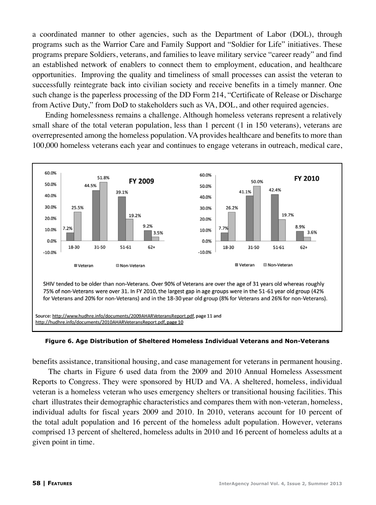a coordinated manner to other agencies, such as the Department of Labor (DOL), through programs such as the Warrior Care and Family Support and "Soldier for Life" initiatives. These programs prepare Soldiers, veterans, and families to leave military service "career ready" and find an established network of enablers to connect them to employment, education, and healthcare opportunities. Improving the quality and timeliness of small processes can assist the veteran to successfully reintegrate back into civilian society and receive benefits in a timely manner. One such change is the paperless processing of the DD Form 214, "Certificate of Release or Discharge from Active Duty," from DoD to stakeholders such as VA, DOL, and other required agencies.

Ending homelessness remains a challenge. Although homeless veterans represent a relatively small share of the total veteran population, less than 1 percent (1 in 150 veterans), veterans are overrepresented among the homeless population. VA provides healthcare and benefits to more than 100,000 homeless veterans each year and continues to engage veterans in outreach, medical care,



**Figure 6. Age Distribution of Sheltered Homeless Individual Veterans and Non-Veterans**

benefits assistance, transitional housing, and case management for veterans in permanent housing.

 The charts in Figure 6 used data from the 2009 and 2010 Annual Homeless Assessment Reports to Congress. They were sponsored by HUD and VA. A sheltered, homeless, individual veteran is a homeless veteran who uses emergency shelters or transitional housing facilities. This chart illustrates their demographic characteristics and compares them with non-veteran, homeless, individual adults for fiscal years 2009 and 2010. In 2010, veterans account for 10 percent of the total adult population and 16 percent of the homeless adult population. However, veterans comprised 13 percent of sheltered, homeless adults in 2010 and 16 percent of homeless adults at a given point in time.